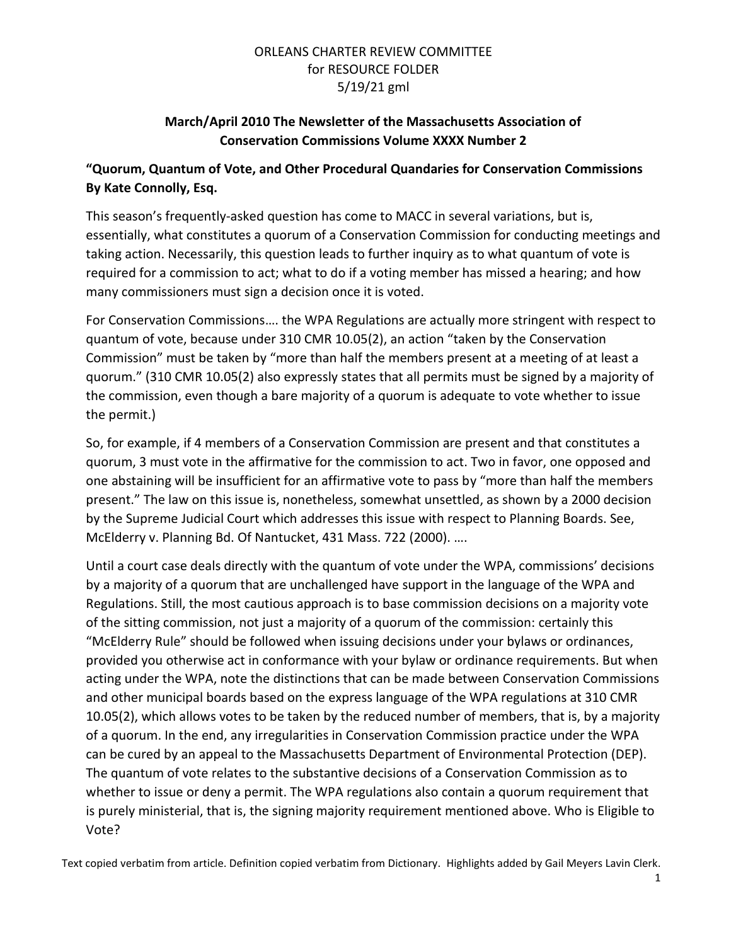## ORLEANS CHARTER REVIEW COMMITTEE for RESOURCE FOLDER 5/19/21 gml

# **March/April 2010 The Newsletter of the Massachusetts Association of Conservation Commissions Volume XXXX Number 2**

# **"Quorum, Quantum of Vote, and Other Procedural Quandaries for Conservation Commissions By Kate Connolly, Esq.**

This season's frequently-asked question has come to MACC in several variations, but is, essentially, what constitutes a quorum of a Conservation Commission for conducting meetings and taking action. Necessarily, this question leads to further inquiry as to what quantum of vote is required for a commission to act; what to do if a voting member has missed a hearing; and how many commissioners must sign a decision once it is voted.

For Conservation Commissions…. the WPA Regulations are actually more stringent with respect to quantum of vote, because under 310 CMR 10.05(2), an action "taken by the Conservation Commission" must be taken by "more than half the members present at a meeting of at least a quorum." (310 CMR 10.05(2) also expressly states that all permits must be signed by a majority of the commission, even though a bare majority of a quorum is adequate to vote whether to issue the permit.)

So, for example, if 4 members of a Conservation Commission are present and that constitutes a quorum, 3 must vote in the affirmative for the commission to act. Two in favor, one opposed and one abstaining will be insufficient for an affirmative vote to pass by "more than half the members present." The law on this issue is, nonetheless, somewhat unsettled, as shown by a 2000 decision by the Supreme Judicial Court which addresses this issue with respect to Planning Boards. See, McElderry v. Planning Bd. Of Nantucket, 431 Mass. 722 (2000). ….

Until a court case deals directly with the quantum of vote under the WPA, commissions' decisions by a majority of a quorum that are unchallenged have support in the language of the WPA and Regulations. Still, the most cautious approach is to base commission decisions on a majority vote of the sitting commission, not just a majority of a quorum of the commission: certainly this "McElderry Rule" should be followed when issuing decisions under your bylaws or ordinances, provided you otherwise act in conformance with your bylaw or ordinance requirements. But when acting under the WPA, note the distinctions that can be made between Conservation Commissions and other municipal boards based on the express language of the WPA regulations at 310 CMR 10.05(2), which allows votes to be taken by the reduced number of members, that is, by a majority of a quorum. In the end, any irregularities in Conservation Commission practice under the WPA can be cured by an appeal to the Massachusetts Department of Environmental Protection (DEP). The quantum of vote relates to the substantive decisions of a Conservation Commission as to whether to issue or deny a permit. The WPA regulations also contain a quorum requirement that is purely ministerial, that is, the signing majority requirement mentioned above. Who is Eligible to Vote?

Text copied verbatim from article. Definition copied verbatim from Dictionary. Highlights added by Gail Meyers Lavin Clerk.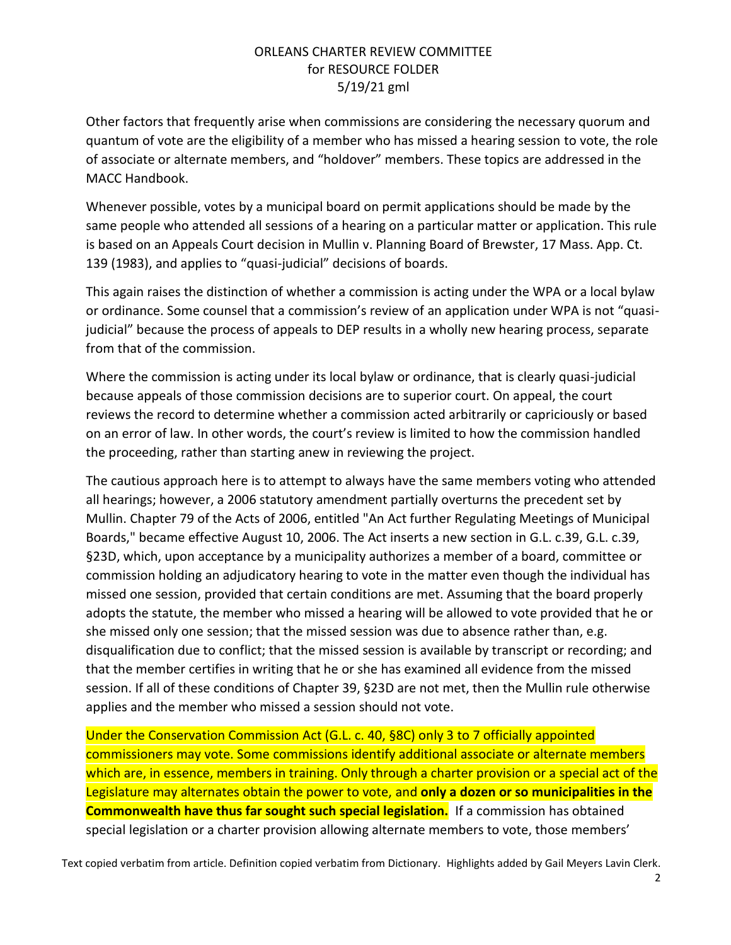### ORLEANS CHARTER REVIEW COMMITTEE for RESOURCE FOLDER 5/19/21 gml

Other factors that frequently arise when commissions are considering the necessary quorum and quantum of vote are the eligibility of a member who has missed a hearing session to vote, the role of associate or alternate members, and "holdover" members. These topics are addressed in the MACC Handbook.

Whenever possible, votes by a municipal board on permit applications should be made by the same people who attended all sessions of a hearing on a particular matter or application. This rule is based on an Appeals Court decision in Mullin v. Planning Board of Brewster, 17 Mass. App. Ct. 139 (1983), and applies to "quasi-judicial" decisions of boards.

This again raises the distinction of whether a commission is acting under the WPA or a local bylaw or ordinance. Some counsel that a commission's review of an application under WPA is not "quasijudicial" because the process of appeals to DEP results in a wholly new hearing process, separate from that of the commission.

Where the commission is acting under its local bylaw or ordinance, that is clearly quasi-judicial because appeals of those commission decisions are to superior court. On appeal, the court reviews the record to determine whether a commission acted arbitrarily or capriciously or based on an error of law. In other words, the court's review is limited to how the commission handled the proceeding, rather than starting anew in reviewing the project.

The cautious approach here is to attempt to always have the same members voting who attended all hearings; however, a 2006 statutory amendment partially overturns the precedent set by Mullin. Chapter 79 of the Acts of 2006, entitled "An Act further Regulating Meetings of Municipal Boards," became effective August 10, 2006. The Act inserts a new section in G.L. c.39, G.L. c.39, §23D, which, upon acceptance by a municipality authorizes a member of a board, committee or commission holding an adjudicatory hearing to vote in the matter even though the individual has missed one session, provided that certain conditions are met. Assuming that the board properly adopts the statute, the member who missed a hearing will be allowed to vote provided that he or she missed only one session; that the missed session was due to absence rather than, e.g. disqualification due to conflict; that the missed session is available by transcript or recording; and that the member certifies in writing that he or she has examined all evidence from the missed session. If all of these conditions of Chapter 39, §23D are not met, then the Mullin rule otherwise applies and the member who missed a session should not vote.

Under the Conservation Commission Act (G.L. c. 40, §8C) only 3 to 7 officially appointed commissioners may vote. Some commissions identify additional associate or alternate members which are, in essence, members in training. Only through a charter provision or a special act of the Legislature may alternates obtain the power to vote, and **only a dozen or so municipalities in the Commonwealth have thus far sought such special legislation.** If a commission has obtained special legislation or a charter provision allowing alternate members to vote, those members'

Text copied verbatim from article. Definition copied verbatim from Dictionary. Highlights added by Gail Meyers Lavin Clerk.